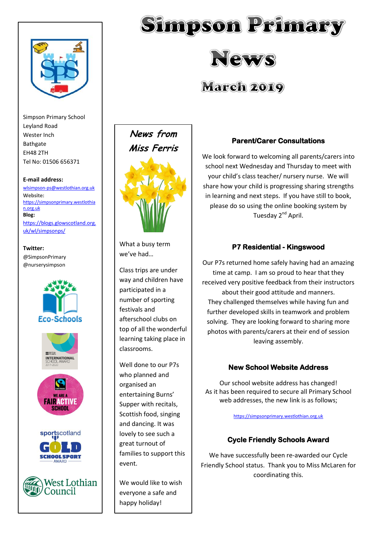

Simpson Primary School Leyland Road Wester Inch Bathgate EH48 2TH Tel No: 01506 656371

#### **E-mail address:**

[wlsimpson-ps@westlothian.org.uk](mailto:wlsimpson-ps@westlothian.org.uk) **Website:** [https://simpsonprimary.westlothia](https://simpsonprimary.westlothian.org.uk/) [n.org.uk](https://simpsonprimary.westlothian.org.uk/) **Blog:**

[https://blogs.glowscotland.org.](https://blogs.glowscotland.org.uk/wl/simpsonps/) [uk/wl/simpsonps/](https://blogs.glowscotland.org.uk/wl/simpsonps/)

#### **Twitter:** @SimpsonPrimary

@nurserysimpson





What a busy term we've had…

Class trips are under way and children have participated in a number of sporting festivals and afterschool clubs on top of all the wonderful learning taking place in classrooms.

Well done to our P7s who planned and organised an entertaining Burns' Supper with recitals, Scottish food, singing and dancing. It was lovely to see such a great turnout of families to support this event.

We would like to wish everyone a safe and happy holiday!



Simpson Primary

News

**March 2019** 

We look forward to welcoming all parents/carers into school next Wednesday and Thursday to meet with your child's class teacher/ nursery nurse. We will share how your child is progressing sharing strengths in learning and next steps. If you have still to book, please do so using the online booking system by Tuesday 2<sup>nd</sup> April.

# **P7 Residential - Kingswood**

Our P7s returned home safely having had an amazing time at camp. I am so proud to hear that they received very positive feedback from their instructors about their good attitude and manners. They challenged themselves while having fun and further developed skills in teamwork and problem solving. They are looking forward to sharing more photos with parents/carers at their end of session leaving assembly.

# **New School Website Address**

Our school website address has changed! As it has been required to secure all Primary School web addresses, the new link is as follows;

[https://simpsonprimary.westlothian.org.uk](https://simpsonprimary.westlothian.org.uk/)

# **Cycle Friendly Schools Award**

We have successfully been re-awarded our Cycle Friendly School status. Thank you to Miss McLaren for coordinating this.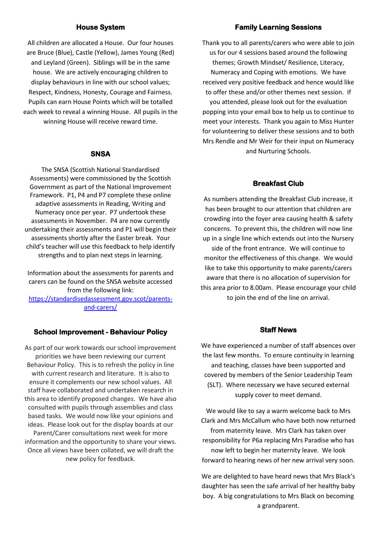## **House System**

All children are allocated a House. Our four houses are Bruce (Blue), Castle (Yellow), James Young (Red) and Leyland (Green). Siblings will be in the same house. We are actively encouraging children to display behaviours in line with our school values; Respect, Kindness, Honesty, Courage and Fairness. Pupils can earn House Points which will be totalled each week to reveal a winning House. All pupils in the winning House will receive reward time.

#### **SNSA**

The SNSA (Scottish National Standardised Assessments) were commissioned by the Scottish Government as part of the National Improvement Framework. P1, P4 and P7 complete these online adaptive assessments in Reading, Writing and Numeracy once per year. P7 undertook these assessments in November. P4 are now currently undertaking their assessments and P1 will begin their assessments shortly after the Easter break. Your child's teacher will use this feedback to help identify strengths and to plan next steps in learning.

Information about the assessments for parents and carers can be found on the SNSA website accessed from the following link: [https://standardisedassessment.gov.scot/parents](https://standardisedassessment.gov.scot/parents-and-carers/)[and-carers/](https://standardisedassessment.gov.scot/parents-and-carers/)

## **School Improvement - Behaviour Policy**

As part of our work towards our school improvement priorities we have been reviewing our current Behaviour Policy. This is to refresh the policy in line with current research and literature. It is also to ensure it complements our new school values. All staff have collaborated and undertaken research in this area to identify proposed changes. We have also consulted with pupils through assemblies and class based tasks. We would now like your opinions and ideas. Please look out for the display boards at our Parent/Carer consultations next week for more information and the opportunity to share your views. Once all views have been collated, we will draft the new policy for feedback.

#### **Family Learning Sessions**

Thank you to all parents/carers who were able to join us for our 4 sessions based around the following themes; Growth Mindset/ Resilience, Literacy, Numeracy and Coping with emotions. We have received very positive feedback and hence would like to offer these and/or other themes next session. If you attended, please look out for the evaluation popping into your email box to help us to continue to meet your interests. Thank you again to Miss Hunter for volunteering to deliver these sessions and to both Mrs Rendle and Mr Weir for their input on Numeracy and Nurturing Schools.

## **Breakfast Club**

As numbers attending the Breakfast Club increase, it has been brought to our attention that children are crowding into the foyer area causing health & safety concerns. To prevent this, the children will now line up in a single line which extends out into the Nursery side of the front entrance. We will continue to monitor the effectiveness of this change. We would like to take this opportunity to make parents/carers aware that there is no allocation of supervision for this area prior to 8.00am. Please encourage your child to join the end of the line on arrival.

### **Staff News**

We have experienced a number of staff absences over the last few months. To ensure continuity in learning and teaching, classes have been supported and covered by members of the Senior Leadership Team (SLT). Where necessary we have secured external supply cover to meet demand.

We would like to say a warm welcome back to Mrs Clark and Mrs McCallum who have both now returned from maternity leave. Mrs Clark has taken over responsibility for P6a replacing Mrs Paradise who has now left to begin her maternity leave. We look forward to hearing news of her new arrival very soon.

We are delighted to have heard news that Mrs Black's daughter has seen the safe arrival of her healthy baby boy. A big congratulations to Mrs Black on becoming a grandparent.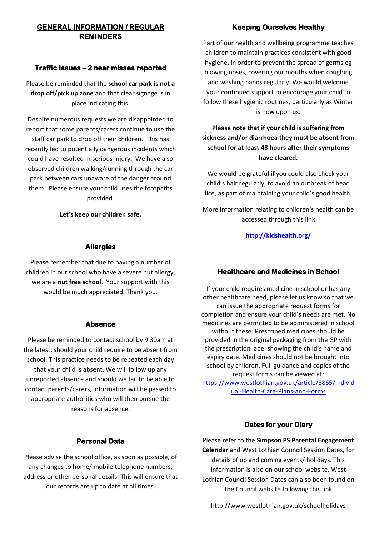# **GENERAL INFORMATION / REGULAR REMINDERS**

## **Traffic Issues – 2 near misses reported**

Please be reminded that the **school car park is not a drop off/pick up zone** and that clear signage is in place indicating this.

Despite numerous requests we are disappointed to report that some parents/carers continue to use the staff car park to drop off their children. This has recently led to potentially dangerous incidents which could have resulted in serious injury. We have also observed children walking/running through the car park between cars unaware of the danger around them. Please ensure your child uses the footpaths provided.

**Let's keep our children safe.**

# **Allergies**

Please remember that due to having a number of children in our school who have a severe nut allergy, we are a **nut free school**. Your support with this would be much appreciated. Thank you.

## **Absence**

Please be reminded to contact school by 9.30am at the latest, should your child require to be absent from school. This practice needs to be repeated each day that your child is absent. We will follow up any unreported absence and should we fail to be able to contact parents/carers, information will be passed to appropriate authorities who will then pursue the reasons for absence.

## **Personal Data**

Please advise the school office, as soon as possible, of any changes to home/ mobile telephone numbers, address or other personal details. This will ensure that our records are up to date at all times.

# **Keeping Ourselves Healthy**

Part of our health and wellbeing programme teaches children to maintain practices consistent with good hygiene, in order to prevent the spread of germs eg blowing noses, covering our mouths when coughing and washing hands regularly. We would welcome your continued support to encourage your child to follow these hygienic routines, particularly as Winter is now upon us.

**Please note that if your child is suffering from sickness and/or diarrhoea they must be absent from school for at least 48 hours after their symptoms have cleared.**

We would be grateful if you could also check your child's hair regularly, to avoid an outbreak of head lice, as part of maintaining your child's good health.

More information relating to children's health can be accessed through this link

**<http://kidshealth.org/>**

# **Healthcare and Medicines in School**

If your child requires medicine in school or has any other healthcare need, please let us know so that we can issue the appropriate request forms for completion and ensure your child's needs are met. No medicines are permitted to be administered in school without these. Prescribed medicines should be provided in the original packaging from the GP with the prescription label showing the child's name and expiry date. Medicines should not be brought into school by children. Full guidance and copies of the request forms can be viewed at: [https://www.westlothian.gov.uk/article/8865/Individ](https://www.westlothian.gov.uk/article/8865/Individual-Health-Care-Plans-and-Forms)

[ual-Health-Care-Plans-and-Forms](https://www.westlothian.gov.uk/article/8865/Individual-Health-Care-Plans-and-Forms)

# **Dates for your Diary**

Please refer to the **Simpson PS Parental Engagement Calendar** and West Lothian Council Session Dates, for details of up and coming events/ holidays. This information is also on our school website. West Lothian Council Session Dates can also been found on the Council website following this link

http://www.westlothian.gov.uk/schoolholidays